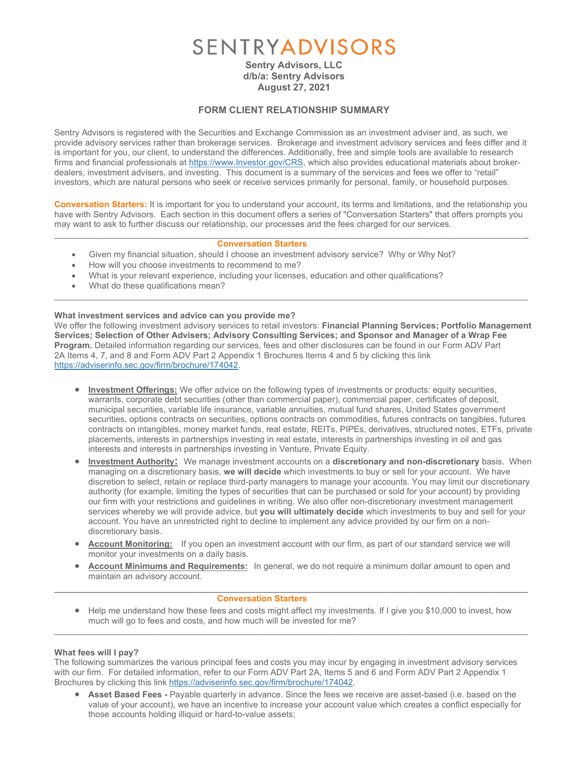# SENTRYADVISORS

Sentry Advisors, LLC d/b/a: Sentry Advisors August 27, 2021

### FORM CLIENT RELATIONSHIP SUMMARY

Sentry Advisors is registered with the Securities and Exchange Commission as an investment adviser and, as such, we provide advisory services rather than brokerage services. Brokerage and investment advisory services and fees differ and it is important for you, our client, to understand the differences. Additionally, free and simple tools are available to research firms and financial professionals at https://www.Investor.gov/CRS, which also provides educational materials about brokerdealers, investment advisers, and investing. This document is a summary of the services and fees we offer to "retail" investors, which are natural persons who seek or receive services primarily for personal, family, or household purposes.

Conversation Starters: It is important for you to understand your account, its terms and limitations, and the relationship you have with Sentry Advisors. Each section in this document offers a series of "Conversation Starters" that offers prompts you may want to ask to further discuss our relationship, our processes and the fees charged for our services.

 $\_$  , and the state of the state of the state of the state of the state of the state of the state of the state of the state of the state of the state of the state of the state of the state of the state of the state of the

#### Conversation Starters

- Given my financial situation, should I choose an investment advisory service? Why or Why Not?
- How will you choose investments to recommend to me?
- What is your relevant experience, including your licenses, education and other qualifications?
- What do these qualifications mean?

#### What investment services and advice can you provide me?

We offer the following investment advisory services to retail investors: Financial Planning Services; Portfolio Management Services; Selection of Other Advisers; Advisory Consulting Services; and Sponsor and Manager of a Wrap Fee Program. Detailed information regarding our services, fees and other disclosures can be found in our Form ADV Part 2A Items 4, 7, and 8 and Form ADV Part 2 Appendix 1 Brochures Items 4 and 5 by clicking this link https://adviserinfo.sec.gov/firm/brochure/174042.

 $\_$  , and the state of the state of the state of the state of the state of the state of the state of the state of the state of the state of the state of the state of the state of the state of the state of the state of the

- Investment Offerings: We offer advice on the following types of investments or products: equity securities, warrants, corporate debt securities (other than commercial paper), commercial paper, certificates of deposit, municipal securities, variable life insurance, variable annuities, mutual fund shares, United States government securities, options contracts on securities, options contracts on commodities, futures contracts on tangibles, futures contracts on intangibles, money market funds, real estate, REITs, PIPEs, derivatives, structured notes, ETFs, private placements, interests in partnerships investing in real estate, interests in partnerships investing in oil and gas interests and interests in partnerships investing in Venture, Private Equity.
- Investment Authority: We manage investment accounts on a discretionary and non-discretionary basis. When managing on a discretionary basis, we will decide which investments to buy or sell for your account. We have discretion to select, retain or replace third-party managers to manage your accounts. You may limit our discretionary authority (for example, limiting the types of securities that can be purchased or sold for your account) by providing our firm with your restrictions and guidelines in writing. We also offer non-discretionary investment management services whereby we will provide advice, but you will ultimately decide which investments to buy and sell for your account. You have an unrestricted right to decline to implement any advice provided by our firm on a nondiscretionary basis.
- Account Monitoring: If you open an investment account with our firm, as part of our standard service we will monitor your investments on a daily basis.
- Account Minimums and Requirements: In general, we do not require a minimum dollar amount to open and maintain an advisory account.  $\_$  , and the set of the set of the set of the set of the set of the set of the set of the set of the set of the set of the set of the set of the set of the set of the set of the set of the set of the set of the set of th

#### Conversation Starters

• Help me understand how these fees and costs might affect my investments. If I give you \$10,000 to invest, how much will go to fees and costs, and how much will be invested for me?  $\_$  , and the state of the state of the state of the state of the state of the state of the state of the state of the state of the state of the state of the state of the state of the state of the state of the state of the

#### What fees will I pay?

The following summarizes the various principal fees and costs you may incur by engaging in investment advisory services with our firm. For detailed information, refer to our Form ADV Part 2A, Items 5 and 6 and Form ADV Part 2 Appendix 1 Brochures by clicking this link https://adviserinfo.sec.gov/firm/brochure/174042.

• Asset Based Fees - Payable quarterly in advance. Since the fees we receive are asset-based (i.e. based on the value of your account), we have an incentive to increase your account value which creates a conflict especially for those accounts holding illiquid or hard-to-value assets;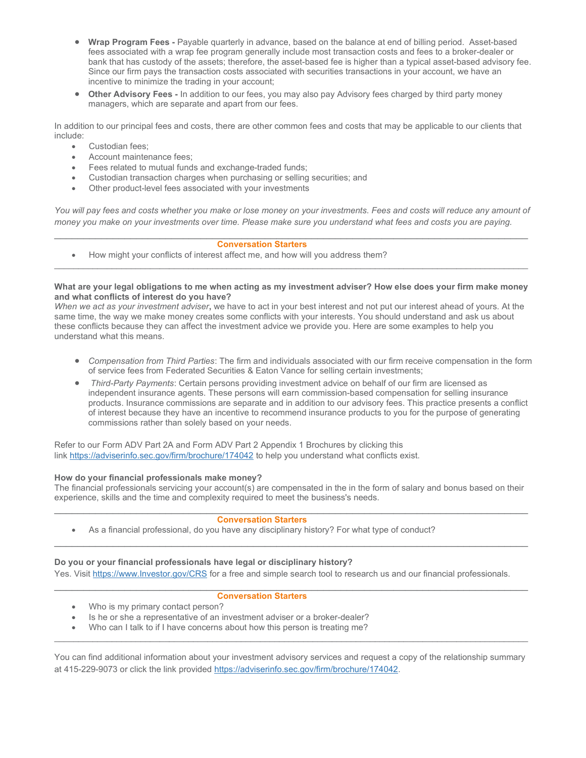- Wrap Program Fees Payable quarterly in advance, based on the balance at end of billing period. Asset-based fees associated with a wrap fee program generally include most transaction costs and fees to a broker-dealer or bank that has custody of the assets; therefore, the asset-based fee is higher than a typical asset-based advisory fee. Since our firm pays the transaction costs associated with securities transactions in your account, we have an incentive to minimize the trading in your account;
- Other Advisory Fees In addition to our fees, you may also pay Advisory fees charged by third party money managers, which are separate and apart from our fees.

In addition to our principal fees and costs, there are other common fees and costs that may be applicable to our clients that include:

- Custodian fees;
- Account maintenance fees;
- Fees related to mutual funds and exchange-traded funds;
- Custodian transaction charges when purchasing or selling securities; and
- Other product-level fees associated with your investments

You will pay fees and costs whether you make or lose money on your investments. Fees and costs will reduce any amount of money you make on your investments over time. Please make sure you understand what fees and costs you are paying.  $\_$  , and the set of the set of the set of the set of the set of the set of the set of the set of the set of the set of the set of the set of the set of the set of the set of the set of the set of the set of the set of th

#### Conversation Starters

• How might your conflicts of interest affect me, and how will you address them?

#### What are your legal obligations to me when acting as my investment adviser? How else does your firm make money and what conflicts of interest do you have?

 $\_$  , and the state of the state of the state of the state of the state of the state of the state of the state of the state of the state of the state of the state of the state of the state of the state of the state of the

When we act as your investment adviser, we have to act in your best interest and not put our interest ahead of vours. At the same time, the way we make money creates some conflicts with your interests. You should understand and ask us about these conflicts because they can affect the investment advice we provide you. Here are some examples to help you understand what this means.

- Compensation from Third Parties: The firm and individuals associated with our firm receive compensation in the form of service fees from Federated Securities & Eaton Vance for selling certain investments;
- Third-Party Payments: Certain persons providing investment advice on behalf of our firm are licensed as independent insurance agents. These persons will earn commission-based compensation for selling insurance products. Insurance commissions are separate and in addition to our advisory fees. This practice presents a conflict of interest because they have an incentive to recommend insurance products to you for the purpose of generating commissions rather than solely based on your needs.

Refer to our Form ADV Part 2A and Form ADV Part 2 Appendix 1 Brochures by clicking this link https://adviserinfo.sec.gov/firm/brochure/174042 to help you understand what conflicts exist.

#### How do your financial professionals make money?

The financial professionals servicing your account(s) are compensated in the in the form of salary and bonus based on their experience, skills and the time and complexity required to meet the business's needs.  $\_$  , and the set of the set of the set of the set of the set of the set of the set of the set of the set of the set of the set of the set of the set of the set of the set of the set of the set of the set of the set of th

 $\_$  , and the set of the set of the set of the set of the set of the set of the set of the set of the set of the set of the set of the set of the set of the set of the set of the set of the set of the set of the set of th

 $\_$  , and the set of the set of the set of the set of the set of the set of the set of the set of the set of the set of the set of the set of the set of the set of the set of the set of the set of the set of the set of th

#### Conversation Starters

As a financial professional, do you have any disciplinary history? For what type of conduct?

#### Do you or your financial professionals have legal or disciplinary history?

Yes. Visit https://www.Investor.gov/CRS for a free and simple search tool to research us and our financial professionals.

#### Conversation Starters

- Who is my primary contact person?
- Is he or she a representative of an investment adviser or a broker-dealer?
- Who can I talk to if I have concerns about how this person is treating me?

You can find additional information about your investment advisory services and request a copy of the relationship summary at 415-229-9073 or click the link provided https://adviserinfo.sec.gov/firm/brochure/174042.

 $\_$  , and the state of the state of the state of the state of the state of the state of the state of the state of the state of the state of the state of the state of the state of the state of the state of the state of the